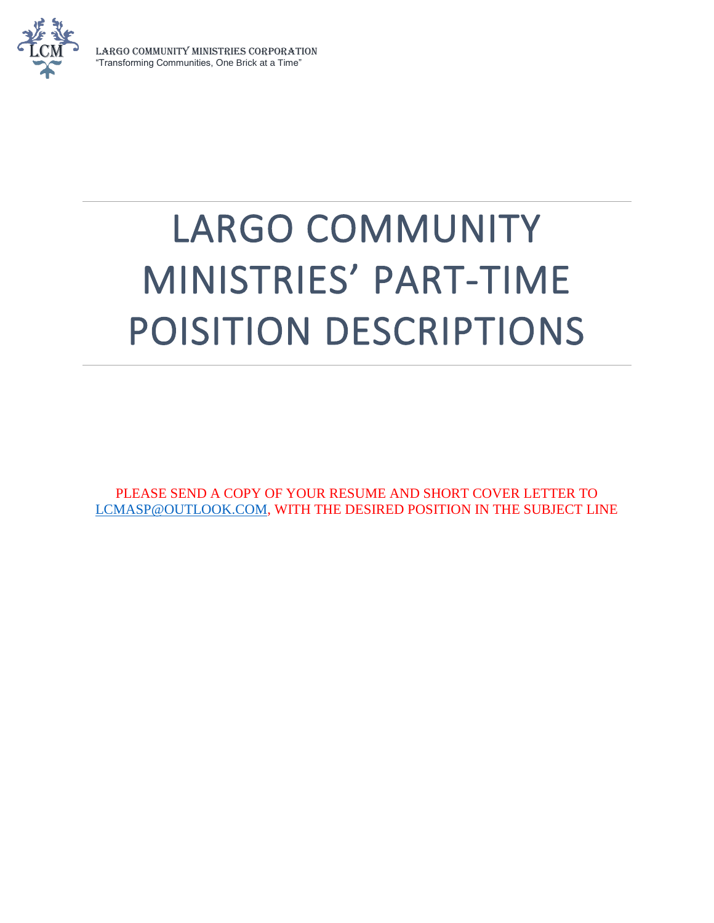

LARGO COMMUNITY MINISTRIES CORPORATION "Transforming Communities, One Brick at a Time"

# LARGO COMMUNITY MINISTRIES' PART-TIME POISITION DESCRIPTIONS

PLEASE SEND A COPY OF YOUR RESUME AND SHORT COVER LETTER TO [LCMASP@OUTLOOK.COM,](mailto:LCMASP@OUTLOOK.COM) WITH THE DESIRED POSITION IN THE SUBJECT LINE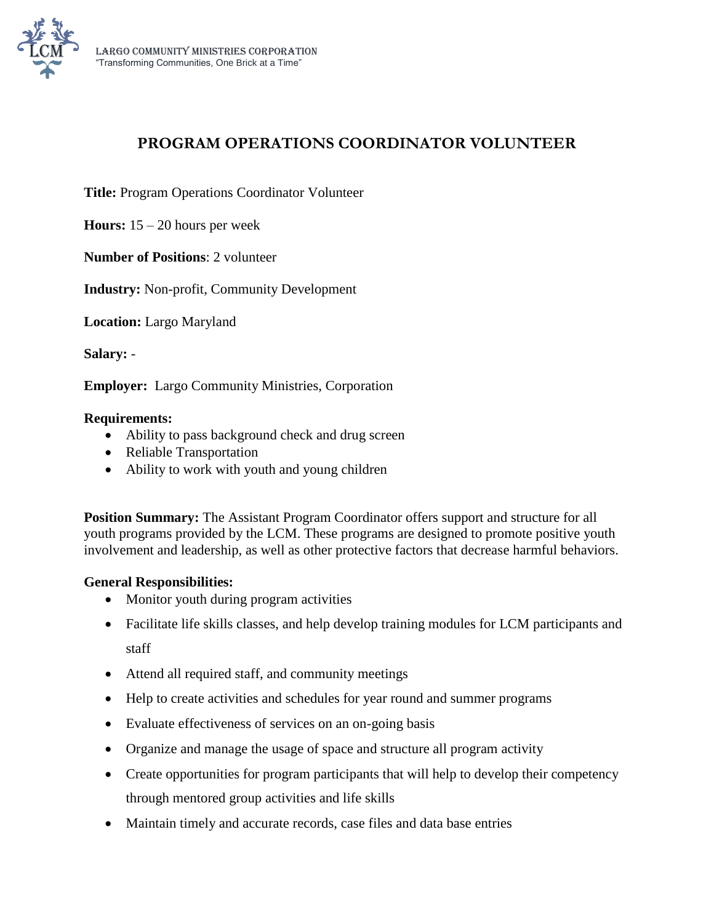

# **PROGRAM OPERATIONS COORDINATOR VOLUNTEER**

**Title:** Program Operations Coordinator Volunteer

**Hours:** 15 – 20 hours per week

**Number of Positions**: 2 volunteer

**Industry:** Non-profit, Community Development

**Location:** Largo Maryland

**Salary:** -

**Employer:** Largo Community Ministries, Corporation

#### **Requirements:**

- Ability to pass background check and drug screen
- Reliable Transportation
- Ability to work with youth and young children

**Position Summary:** The Assistant Program Coordinator offers support and structure for all youth programs provided by the LCM. These programs are designed to promote positive youth involvement and leadership, as well as other protective factors that decrease harmful behaviors.

#### **General Responsibilities:**

- Monitor youth during program activities
- Facilitate life skills classes, and help develop training modules for LCM participants and staff
- Attend all required staff, and community meetings
- Help to create activities and schedules for year round and summer programs
- Evaluate effectiveness of services on an on-going basis
- Organize and manage the usage of space and structure all program activity
- Create opportunities for program participants that will help to develop their competency through mentored group activities and life skills
- Maintain timely and accurate records, case files and data base entries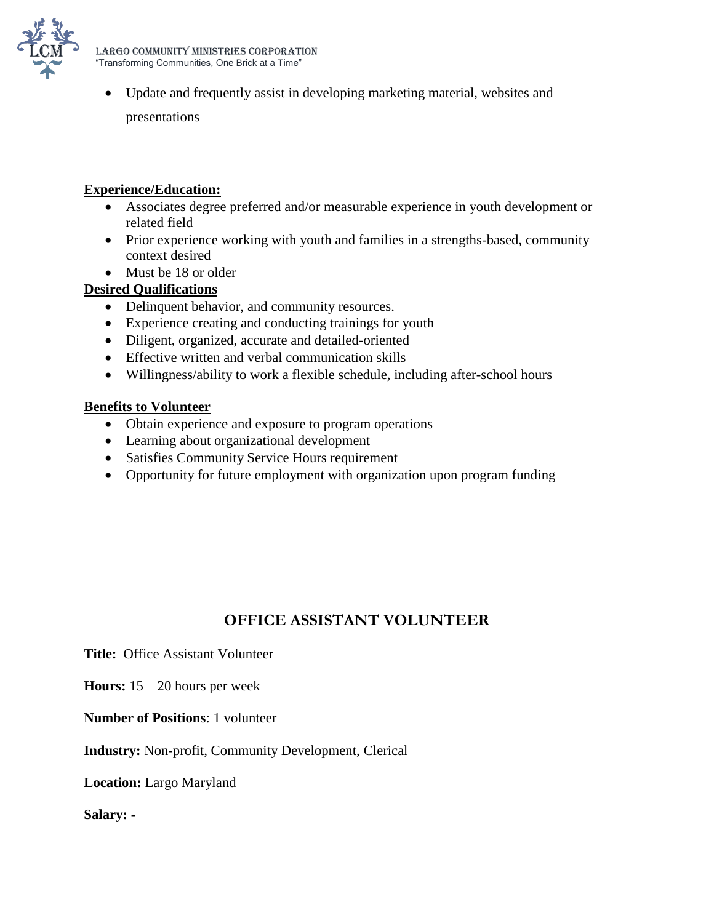

 Update and frequently assist in developing marketing material, websites and presentations

#### **Experience/Education:**

- Associates degree preferred and/or measurable experience in youth development or related field
- Prior experience working with youth and families in a strengths-based, community context desired
- Must be 18 or older

#### **Desired Qualifications**

- Delinquent behavior, and community resources.
- Experience creating and conducting trainings for youth
- Diligent, organized, accurate and detailed-oriented
- Effective written and verbal communication skills
- Willingness/ability to work a flexible schedule, including after-school hours

#### **Benefits to Volunteer**

- Obtain experience and exposure to program operations
- Learning about organizational development
- Satisfies Community Service Hours requirement
- Opportunity for future employment with organization upon program funding

# **OFFICE ASSISTANT VOLUNTEER**

**Title:** Office Assistant Volunteer

- **Hours:** 15 20 hours per week
- **Number of Positions**: 1 volunteer

#### **Industry:** Non-profit, Community Development, Clerical

**Location:** Largo Maryland

**Salary:** -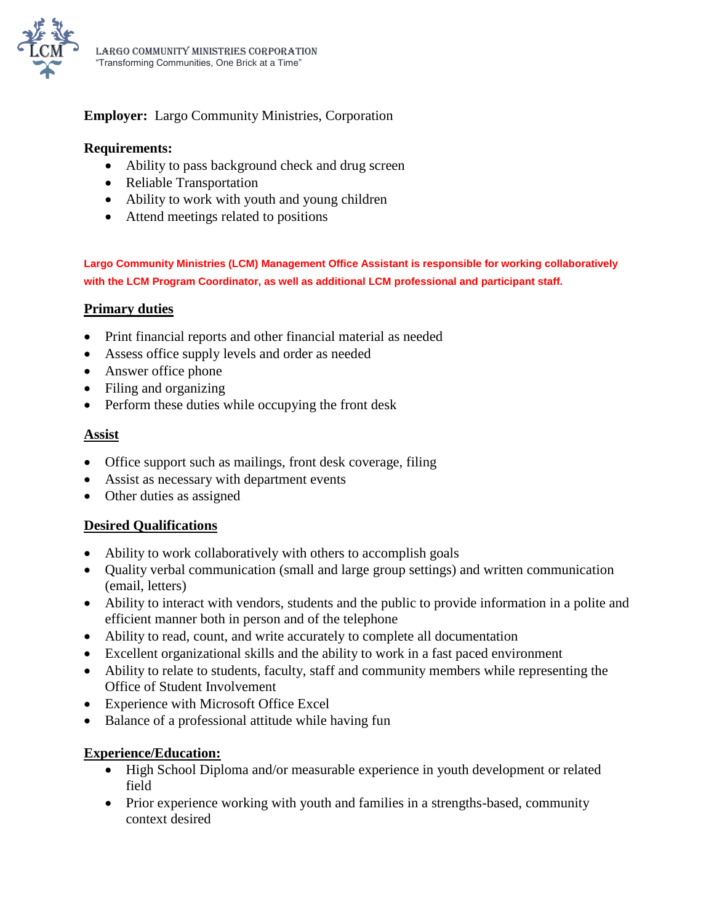

# **Employer:** Largo Community Ministries, Corporation

#### **Requirements:**

- Ability to pass background check and drug screen
- Reliable Transportation
- Ability to work with youth and young children
- Attend meetings related to positions

**Largo Community Ministries (LCM) Management Office Assistant is responsible for working collaboratively with the LCM Program Coordinator, as well as additional LCM professional and participant staff.**

#### **Primary duties**

- Print financial reports and other financial material as needed
- Assess office supply levels and order as needed
- Answer office phone
- Filing and organizing
- Perform these duties while occupying the front desk

#### **Assist**

- Office support such as mailings, front desk coverage, filing
- Assist as necessary with department events
- Other duties as assigned

## **Desired Qualifications**

- Ability to work collaboratively with others to accomplish goals
- Quality verbal communication (small and large group settings) and written communication (email, letters)
- Ability to interact with vendors, students and the public to provide information in a polite and efficient manner both in person and of the telephone
- Ability to read, count, and write accurately to complete all documentation
- Excellent organizational skills and the ability to work in a fast paced environment
- Ability to relate to students, faculty, staff and community members while representing the Office of Student Involvement
- Experience with Microsoft Office Excel
- Balance of a professional attitude while having fun

## **Experience/Education:**

- High School Diploma and/or measurable experience in youth development or related field
- Prior experience working with youth and families in a strengths-based, community context desired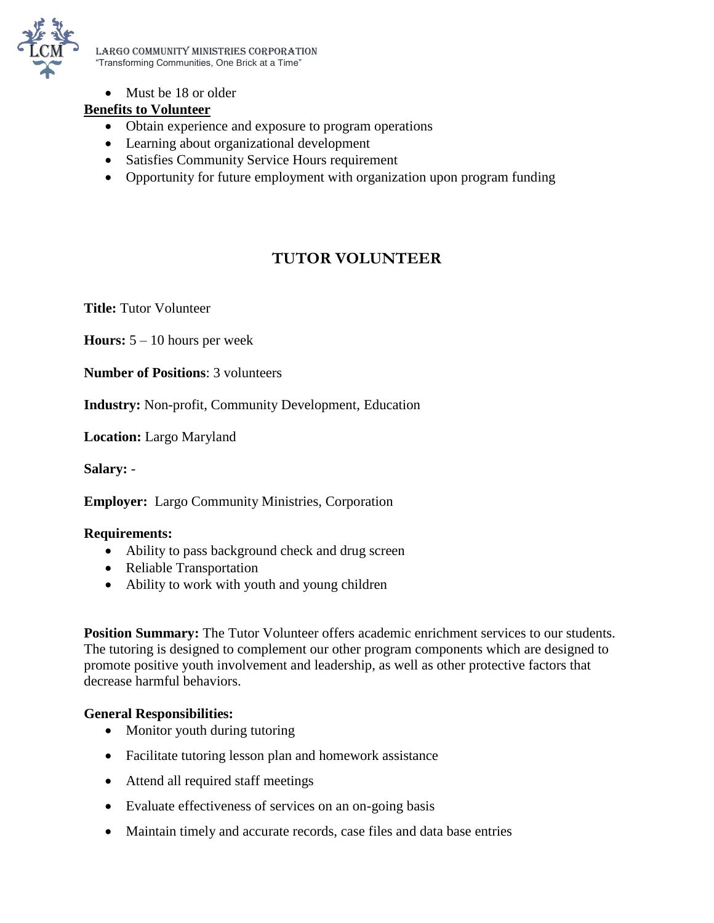

LARGO COMMUNITY MINISTRIES CORPORATION "Transforming Communities, One Brick at a Time"

• Must be 18 or older

# **Benefits to Volunteer**

- Obtain experience and exposure to program operations
- Learning about organizational development
- Satisfies Community Service Hours requirement
- Opportunity for future employment with organization upon program funding

# **TUTOR VOLUNTEER**

**Title:** Tutor Volunteer

**Hours:** 5 – 10 hours per week

**Number of Positions**: 3 volunteers

**Industry:** Non-profit, Community Development, Education

**Location:** Largo Maryland

**Salary:** -

**Employer:** Largo Community Ministries, Corporation

#### **Requirements:**

- Ability to pass background check and drug screen
- Reliable Transportation
- Ability to work with youth and young children

**Position Summary:** The Tutor Volunteer offers academic enrichment services to our students. The tutoring is designed to complement our other program components which are designed to promote positive youth involvement and leadership, as well as other protective factors that decrease harmful behaviors.

#### **General Responsibilities:**

- Monitor youth during tutoring
- Facilitate tutoring lesson plan and homework assistance
- Attend all required staff meetings
- Evaluate effectiveness of services on an on-going basis
- Maintain timely and accurate records, case files and data base entries